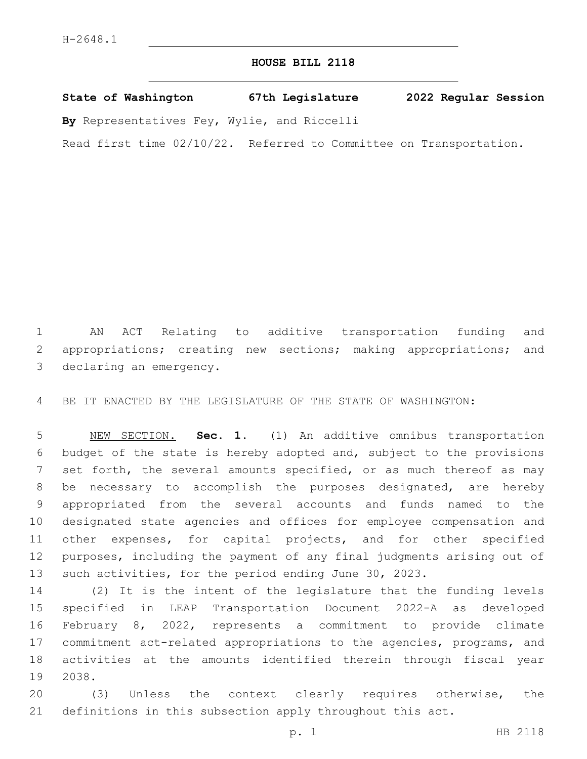### **HOUSE BILL 2118**

**State of Washington 67th Legislature 2022 Regular Session By** Representatives Fey, Wylie, and Riccelli

Read first time 02/10/22. Referred to Committee on Transportation.

 AN ACT Relating to additive transportation funding and appropriations; creating new sections; making appropriations; and 3 declaring an emergency.

BE IT ENACTED BY THE LEGISLATURE OF THE STATE OF WASHINGTON:

 NEW SECTION. **Sec. 1.** (1) An additive omnibus transportation budget of the state is hereby adopted and, subject to the provisions 7 set forth, the several amounts specified, or as much thereof as may be necessary to accomplish the purposes designated, are hereby appropriated from the several accounts and funds named to the designated state agencies and offices for employee compensation and other expenses, for capital projects, and for other specified purposes, including the payment of any final judgments arising out of such activities, for the period ending June 30, 2023.

 (2) It is the intent of the legislature that the funding levels specified in LEAP Transportation Document 2022-A as developed February 8, 2022, represents a commitment to provide climate commitment act-related appropriations to the agencies, programs, and activities at the amounts identified therein through fiscal year 19 2038.

 (3) Unless the context clearly requires otherwise, the definitions in this subsection apply throughout this act.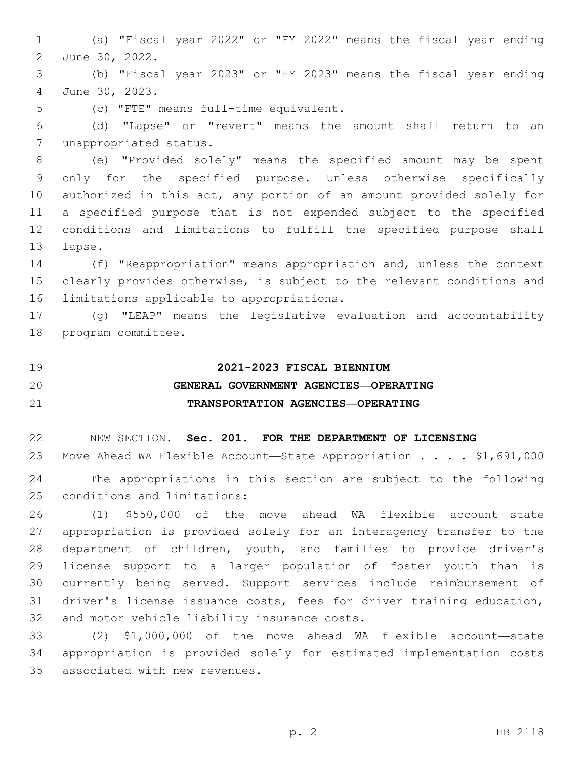(a) "Fiscal year 2022" or "FY 2022" means the fiscal year ending 2 June 30, 2022.

 (b) "Fiscal year 2023" or "FY 2023" means the fiscal year ending June 30, 2023.4

5 (c) "FTE" means full-time equivalent.

 (d) "Lapse" or "revert" means the amount shall return to an 7 unappropriated status.

 (e) "Provided solely" means the specified amount may be spent only for the specified purpose. Unless otherwise specifically authorized in this act, any portion of an amount provided solely for a specified purpose that is not expended subject to the specified conditions and limitations to fulfill the specified purpose shall 13 lapse.

 (f) "Reappropriation" means appropriation and, unless the context clearly provides otherwise, is subject to the relevant conditions and 16 limitations applicable to appropriations.

 (g) "LEAP" means the legislative evaluation and accountability 18 program committee.

**2021-2023 FISCAL BIENNIUM**

## **GENERAL GOVERNMENT AGENCIES—OPERATING TRANSPORTATION AGENCIES—OPERATING**

NEW SECTION. **Sec. 201. FOR THE DEPARTMENT OF LICENSING**

23 Move Ahead WA Flexible Account—State Appropriation . . . . \$1,691,000 The appropriations in this section are subject to the following 25 conditions and limitations:

 (1) \$550,000 of the move ahead WA flexible account—state appropriation is provided solely for an interagency transfer to the department of children, youth, and families to provide driver's license support to a larger population of foster youth than is currently being served. Support services include reimbursement of driver's license issuance costs, fees for driver training education, 32 and motor vehicle liability insurance costs.

 (2) \$1,000,000 of the move ahead WA flexible account—state appropriation is provided solely for estimated implementation costs 35 associated with new revenues.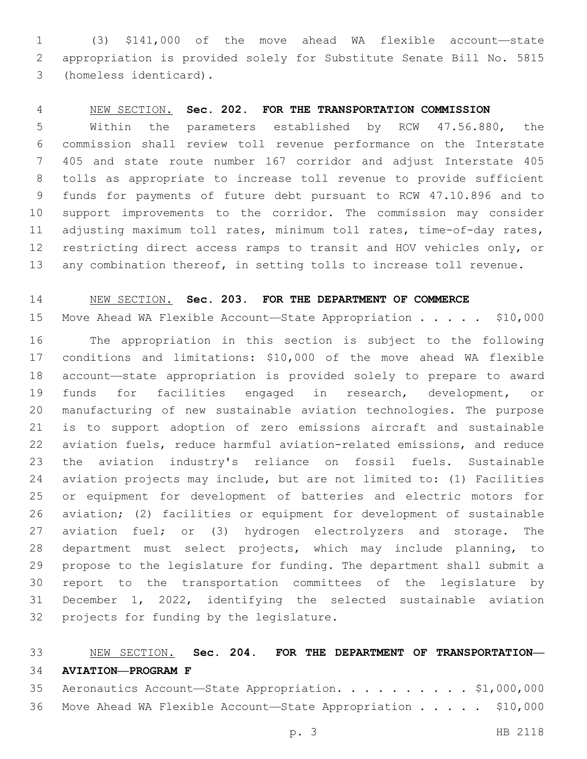(3) \$141,000 of the move ahead WA flexible account—state appropriation is provided solely for Substitute Senate Bill No. 5815 (homeless identicard).3

### NEW SECTION. **Sec. 202. FOR THE TRANSPORTATION COMMISSION**

 Within the parameters established by RCW 47.56.880, the commission shall review toll revenue performance on the Interstate 405 and state route number 167 corridor and adjust Interstate 405 tolls as appropriate to increase toll revenue to provide sufficient funds for payments of future debt pursuant to RCW 47.10.896 and to support improvements to the corridor. The commission may consider 11 adjusting maximum toll rates, minimum toll rates, time-of-day rates, restricting direct access ramps to transit and HOV vehicles only, or any combination thereof, in setting tolls to increase toll revenue.

### NEW SECTION. **Sec. 203. FOR THE DEPARTMENT OF COMMERCE**

15 Move Ahead WA Flexible Account—State Appropriation . . . . \$10,000

 The appropriation in this section is subject to the following conditions and limitations: \$10,000 of the move ahead WA flexible account—state appropriation is provided solely to prepare to award funds for facilities engaged in research, development, or manufacturing of new sustainable aviation technologies. The purpose is to support adoption of zero emissions aircraft and sustainable aviation fuels, reduce harmful aviation-related emissions, and reduce the aviation industry's reliance on fossil fuels. Sustainable aviation projects may include, but are not limited to: (1) Facilities or equipment for development of batteries and electric motors for aviation; (2) facilities or equipment for development of sustainable aviation fuel; or (3) hydrogen electrolyzers and storage. The department must select projects, which may include planning, to propose to the legislature for funding. The department shall submit a report to the transportation committees of the legislature by December 1, 2022, identifying the selected sustainable aviation 32 projects for funding by the legislature.

### NEW SECTION. **Sec. 204. FOR THE DEPARTMENT OF TRANSPORTATION— AVIATION—PROGRAM F**

| 35 Aeronautics Account-State Appropriation. \$1,000,000        |  |  |
|----------------------------------------------------------------|--|--|
| 36 Move Ahead WA Flexible Account-State Appropriation \$10,000 |  |  |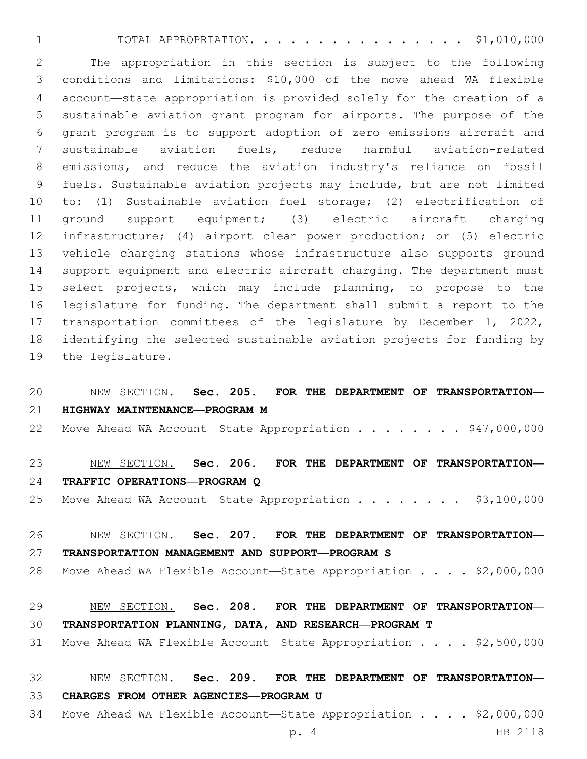TOTAL APPROPRIATION. . . . . . . . . . . . . . . . \$1,010,000

 The appropriation in this section is subject to the following conditions and limitations: \$10,000 of the move ahead WA flexible account—state appropriation is provided solely for the creation of a sustainable aviation grant program for airports. The purpose of the grant program is to support adoption of zero emissions aircraft and sustainable aviation fuels, reduce harmful aviation-related emissions, and reduce the aviation industry's reliance on fossil fuels. Sustainable aviation projects may include, but are not limited to: (1) Sustainable aviation fuel storage; (2) electrification of ground support equipment; (3) electric aircraft charging infrastructure; (4) airport clean power production; or (5) electric vehicle charging stations whose infrastructure also supports ground support equipment and electric aircraft charging. The department must select projects, which may include planning, to propose to the legislature for funding. The department shall submit a report to the transportation committees of the legislature by December 1, 2022, identifying the selected sustainable aviation projects for funding by 19 the legislature.

### NEW SECTION. **Sec. 205. FOR THE DEPARTMENT OF TRANSPORTATION— HIGHWAY MAINTENANCE—PROGRAM M**

22 Move Ahead WA Account-State Appropriation . . . . . . . \$47,000,000

# NEW SECTION. **Sec. 206. FOR THE DEPARTMENT OF TRANSPORTATION— TRAFFIC OPERATIONS—PROGRAM Q**

25 Move Ahead WA Account—State Appropriation . . . . . . . \$3,100,000

 NEW SECTION. **Sec. 207. FOR THE DEPARTMENT OF TRANSPORTATION— TRANSPORTATION MANAGEMENT AND SUPPORT—PROGRAM S**

28 Move Ahead WA Flexible Account—State Appropriation . . . . \$2,000,000

# NEW SECTION. **Sec. 208. FOR THE DEPARTMENT OF TRANSPORTATION— TRANSPORTATION PLANNING, DATA, AND RESEARCH—PROGRAM T**

Move Ahead WA Flexible Account—State Appropriation . . . . \$2,500,000

### NEW SECTION. **Sec. 209. FOR THE DEPARTMENT OF TRANSPORTATION— CHARGES FROM OTHER AGENCIES—PROGRAM U**

Move Ahead WA Flexible Account—State Appropriation . . . . \$2,000,000

p. 4 HB 2118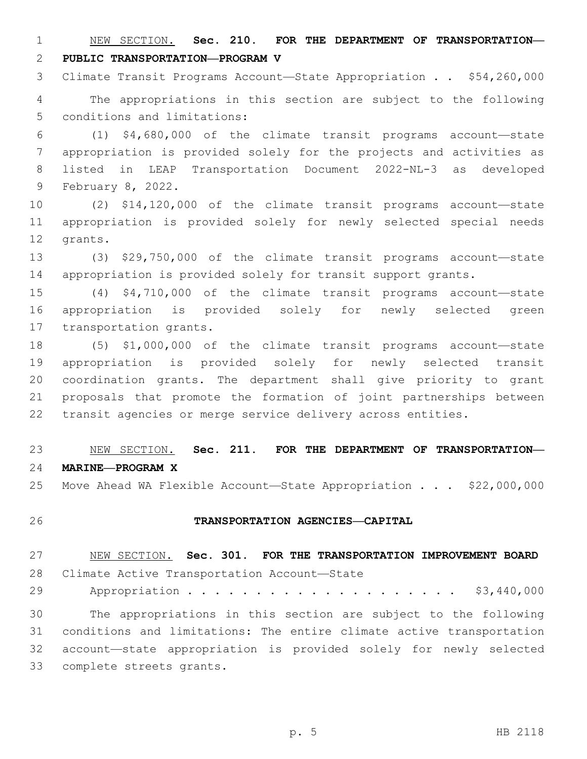NEW SECTION. **Sec. 210. FOR THE DEPARTMENT OF TRANSPORTATION— PUBLIC TRANSPORTATION—PROGRAM V**

Climate Transit Programs Account—State Appropriation . . \$54,260,000

 The appropriations in this section are subject to the following 5 conditions and limitations:

 (1) \$4,680,000 of the climate transit programs account—state appropriation is provided solely for the projects and activities as listed in LEAP Transportation Document 2022-NL-3 as developed 9 February 8, 2022.

 (2) \$14,120,000 of the climate transit programs account—state appropriation is provided solely for newly selected special needs 12 grants.

 (3) \$29,750,000 of the climate transit programs account—state appropriation is provided solely for transit support grants.

 (4) \$4,710,000 of the climate transit programs account—state appropriation is provided solely for newly selected green 17 transportation grants.

 (5) \$1,000,000 of the climate transit programs account—state appropriation is provided solely for newly selected transit coordination grants. The department shall give priority to grant proposals that promote the formation of joint partnerships between transit agencies or merge service delivery across entities.

 NEW SECTION. **Sec. 211. FOR THE DEPARTMENT OF TRANSPORTATION— MARINE—PROGRAM X**

25 Move Ahead WA Flexible Account-State Appropriation . . . \$22,000,000

#### **TRANSPORTATION AGENCIES—CAPITAL**

 NEW SECTION. **Sec. 301. FOR THE TRANSPORTATION IMPROVEMENT BOARD** 28 Climate Active Transportation Account-State 29 Appropriation . . . . . . . . . . . . . . . . . . \$3,440,000 The appropriations in this section are subject to the following conditions and limitations: The entire climate active transportation account—state appropriation is provided solely for newly selected 33 complete streets grants.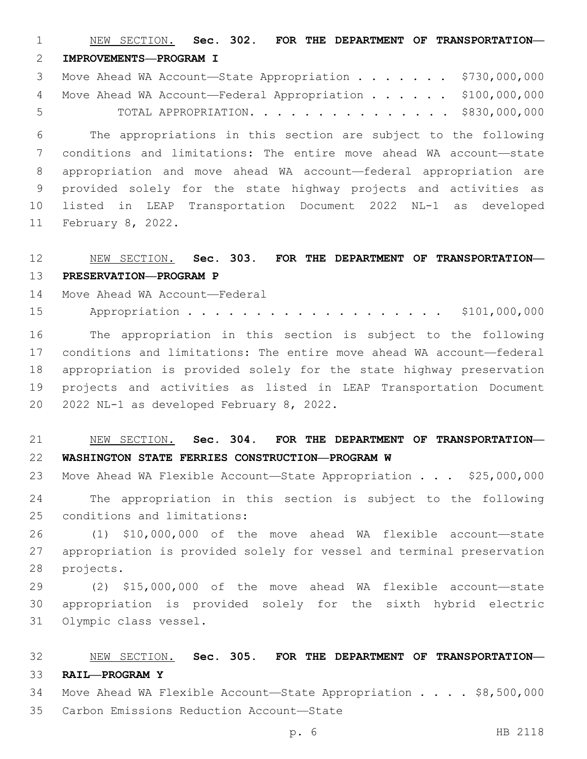NEW SECTION. **Sec. 302. FOR THE DEPARTMENT OF TRANSPORTATION— IMPROVEMENTS—PROGRAM I**

3 Move Ahead WA Account—State Appropriation . . . . . . \$730,000,000 4 Move Ahead WA Account-Federal Appropriation . . . . . \$100,000,000 TOTAL APPROPRIATION. . . . . . . . . . . . . . . \$830,000,000

 The appropriations in this section are subject to the following conditions and limitations: The entire move ahead WA account—state appropriation and move ahead WA account—federal appropriation are provided solely for the state highway projects and activities as listed in LEAP Transportation Document 2022 NL-1 as developed 11 February 8, 2022.

### NEW SECTION. **Sec. 303. FOR THE DEPARTMENT OF TRANSPORTATION— PRESERVATION—PROGRAM P**

14 Move Ahead WA Account—Federal

15 Appropriation . . . . . . . . . . . . . . . . . \$101,000,000

 The appropriation in this section is subject to the following conditions and limitations: The entire move ahead WA account—federal appropriation is provided solely for the state highway preservation projects and activities as listed in LEAP Transportation Document 20 2022 NL-1 as developed February 8, 2022.

### NEW SECTION. **Sec. 304. FOR THE DEPARTMENT OF TRANSPORTATION— WASHINGTON STATE FERRIES CONSTRUCTION—PROGRAM W**

23 Move Ahead WA Flexible Account-State Appropriation . . . \$25,000,000

 The appropriation in this section is subject to the following 25 conditions and limitations:

 (1) \$10,000,000 of the move ahead WA flexible account—state appropriation is provided solely for vessel and terminal preservation 28 projects.

 (2) \$15,000,000 of the move ahead WA flexible account—state appropriation is provided solely for the sixth hybrid electric 31 Olympic class vessel.

# NEW SECTION. **Sec. 305. FOR THE DEPARTMENT OF TRANSPORTATION— RAIL—PROGRAM Y**

34 Move Ahead WA Flexible Account—State Appropriation . . . . \$8,500,000

35 Carbon Emissions Reduction Account-State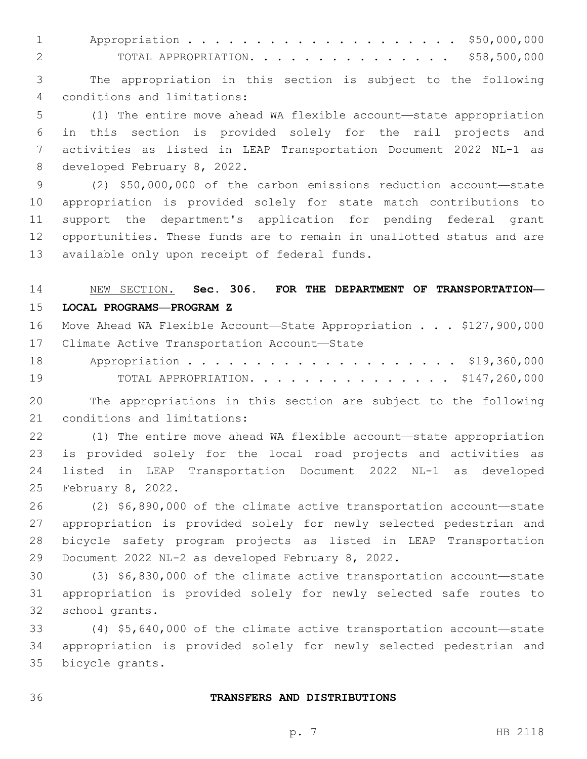1 Appropriation . . . . . . . . . . . . . . . . . . \$50,000,000 TOTAL APPROPRIATION. . . . . . . . . . . . . . . \$58,500,000

 The appropriation in this section is subject to the following conditions and limitations:4

 (1) The entire move ahead WA flexible account—state appropriation in this section is provided solely for the rail projects and activities as listed in LEAP Transportation Document 2022 NL-1 as 8 developed February 8, 2022.

 (2) \$50,000,000 of the carbon emissions reduction account—state appropriation is provided solely for state match contributions to support the department's application for pending federal grant opportunities. These funds are to remain in unallotted status and are 13 available only upon receipt of federal funds.

# NEW SECTION. **Sec. 306. FOR THE DEPARTMENT OF TRANSPORTATION— LOCAL PROGRAMS—PROGRAM Z**

|    | 16 Move Ahead WA Flexible Account-State Appropriation \$127,900,000 |
|----|---------------------------------------------------------------------|
|    | 17 Climate Active Transportation Account-State                      |
|    |                                                                     |
| 19 | TOTAL APPROPRIATION. \$147,260,000                                  |

 The appropriations in this section are subject to the following 21 conditions and limitations:

 (1) The entire move ahead WA flexible account—state appropriation is provided solely for the local road projects and activities as listed in LEAP Transportation Document 2022 NL-1 as developed 25 February 8, 2022.

 (2) \$6,890,000 of the climate active transportation account—state appropriation is provided solely for newly selected pedestrian and bicycle safety program projects as listed in LEAP Transportation 29 Document 2022 NL-2 as developed February 8, 2022.

 (3) \$6,830,000 of the climate active transportation account—state appropriation is provided solely for newly selected safe routes to 32 school grants.

 (4) \$5,640,000 of the climate active transportation account—state appropriation is provided solely for newly selected pedestrian and 35 bicycle grants.

#### **TRANSFERS AND DISTRIBUTIONS**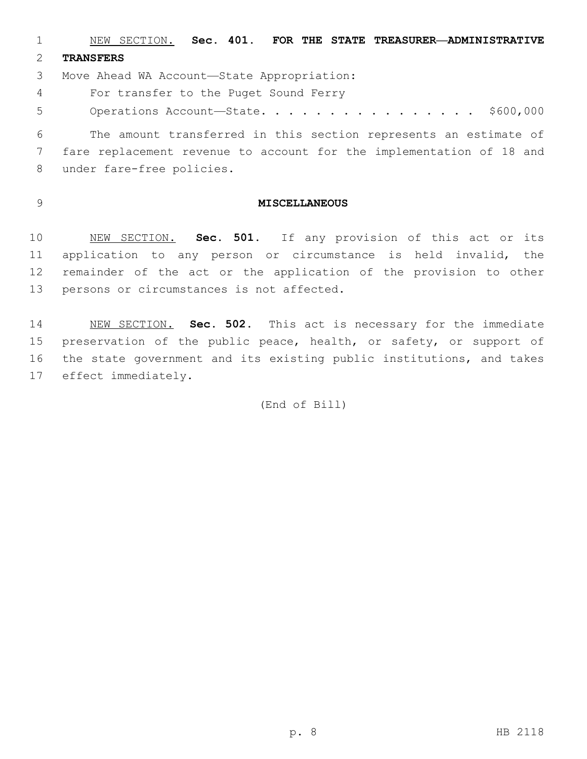NEW SECTION. **Sec. 401. FOR THE STATE TREASURER—ADMINISTRATIVE TRANSFERS**

3 Move Ahead WA Account-State Appropriation:

For transfer to the Puget Sound Ferry4

5 Operations Account-State. . . . . . . . . . . . . . . \$600,000

 The amount transferred in this section represents an estimate of fare replacement revenue to account for the implementation of 18 and 8 under fare-free policies.

### **MISCELLANEOUS**

 NEW SECTION. **Sec. 501.** If any provision of this act or its application to any person or circumstance is held invalid, the remainder of the act or the application of the provision to other persons or circumstances is not affected.

 NEW SECTION. **Sec. 502.** This act is necessary for the immediate preservation of the public peace, health, or safety, or support of the state government and its existing public institutions, and takes effect immediately.

(End of Bill)